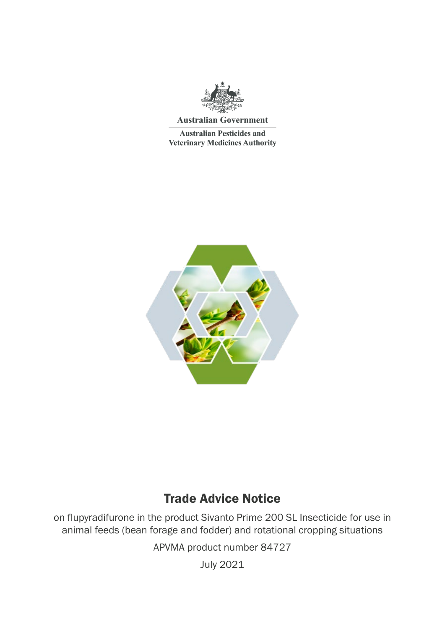

**Australian Government** 

**Australian Pesticides and Veterinary Medicines Authority** 



# Trade Advice Notice

on flupyradifurone in the product Sivanto Prime 200 SL Insecticide for use in animal feeds (bean forage and fodder) and rotational cropping situations

APVMA product number 84727

July 2021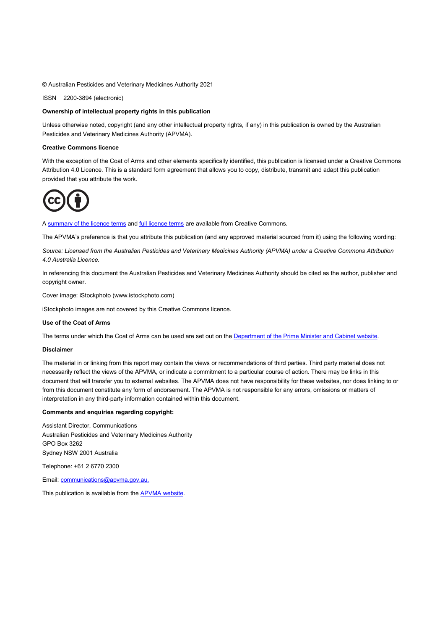© Australian Pesticides and Veterinary Medicines Authority 2021

ISSN 2200-3894 (electronic)

#### **Ownership of intellectual property rights in this publication**

Unless otherwise noted, copyright (and any other intellectual property rights, if any) in this publication is owned by the Australian Pesticides and Veterinary Medicines Authority (APVMA).

#### **Creative Commons licence**

With the exception of the Coat of Arms and other elements specifically identified, this publication is licensed under a Creative Commons Attribution 4.0 Licence. This is a standard form agreement that allows you to copy, distribute, transmit and adapt this publication provided that you attribute the work.



A [summary of the licence terms](https://creativecommons.org/licenses/by/4.0/) an[d full licence terms](https://creativecommons.org/licenses/by/4.0/legalcode) are available from Creative Commons.

The APVMA's preference is that you attribute this publication (and any approved material sourced from it) using the following wording:

*Source: Licensed from the Australian Pesticides and Veterinary Medicines Authority (APVMA) under a Creative Commons Attribution 4.0 Australia Licence.*

In referencing this document the Australian Pesticides and Veterinary Medicines Authority should be cited as the author, publisher and copyright owner.

Cover image: iStockphoto (www.istockphoto.com)

iStockphoto images are not covered by this Creative Commons licence.

#### **Use of the Coat of Arms**

The terms under which the Coat of Arms can be used are set out on the [Department of the Prime Minister and Cabinet website.](http://www.dpmc.gov.au/pmc/publication/commonwealth-coat-arms-information-and-guidelines)

#### **Disclaimer**

The material in or linking from this report may contain the views or recommendations of third parties. Third party material does not necessarily reflect the views of the APVMA, or indicate a commitment to a particular course of action. There may be links in this document that will transfer you to external websites. The APVMA does not have responsibility for these websites, nor does linking to or from this document constitute any form of endorsement. The APVMA is not responsible for any errors, omissions or matters of interpretation in any third-party information contained within this document.

#### **Comments and enquiries regarding copyright:**

Assistant Director, Communications Australian Pesticides and Veterinary Medicines Authority GPO Box 3262 Sydney NSW 2001 Australia

Telephone: +61 2 6770 2300

Email: [communications@apvma.gov.au.](mailto:communications@apvma.gov.au)

This publication is available from the **APVMA** website.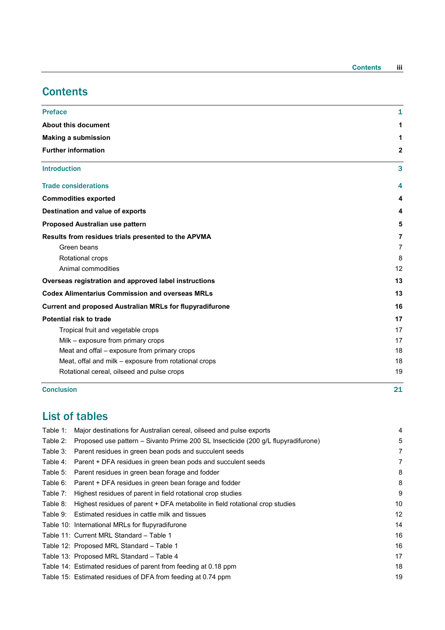# **Contents**

| <b>Preface</b>                                                  | 1              |
|-----------------------------------------------------------------|----------------|
| <b>About this document</b>                                      | 1              |
| <b>Making a submission</b>                                      | 1              |
| <b>Further information</b>                                      | $\overline{2}$ |
| <b>Introduction</b>                                             | 3              |
| <b>Trade considerations</b>                                     | 4              |
| <b>Commodities exported</b>                                     | 4              |
| Destination and value of exports                                | 4              |
| Proposed Australian use pattern                                 | 5              |
| Results from residues trials presented to the APVMA             | 7              |
| Green beans                                                     | 7              |
| Rotational crops                                                | 8              |
| Animal commodities                                              | 12             |
| Overseas registration and approved label instructions           | 13             |
| <b>Codex Alimentarius Commission and overseas MRLs</b>          | 13             |
| <b>Current and proposed Australian MRLs for flupyradifurone</b> | 16             |
| <b>Potential risk to trade</b>                                  | 17             |
| Tropical fruit and vegetable crops                              | 17             |
| Milk - exposure from primary crops                              | 17             |
| Meat and offal - exposure from primary crops                    | 18             |
| Meat, offal and milk - exposure from rotational crops           | 18             |
| Rotational cereal, oilseed and pulse crops                      | 19             |
| <b>Conclusion</b>                                               | 21             |

# List of tables

| Table 1:   | Major destinations for Australian cereal, oilseed and pulse exports               | 4  |
|------------|-----------------------------------------------------------------------------------|----|
| Table $2:$ | Proposed use pattern – Sivanto Prime 200 SL Insecticide (200 g/L flupyradifurone) | 5  |
| Table 3:   | Parent residues in green bean pods and succulent seeds                            | 7  |
| Table 4:   | Parent + DFA residues in green bean pods and succulent seeds                      | 7  |
| Table 5:   | Parent residues in green bean forage and fodder                                   | 8  |
| Table 6:   | Parent + DFA residues in green bean forage and fodder                             | 8  |
| Table 7:   | Highest residues of parent in field rotational crop studies                       | 9  |
| Table 8:   | Highest residues of parent + DFA metabolite in field rotational crop studies      | 10 |
| Table 9:   | Estimated residues in cattle milk and tissues                                     | 12 |
|            | Table 10: International MRLs for flupyradifurone                                  | 14 |
|            | Table 11: Current MRL Standard - Table 1                                          | 16 |
|            | Table 12: Proposed MRL Standard - Table 1                                         | 16 |
|            | Table 13: Proposed MRL Standard - Table 4                                         | 17 |
|            | Table 14: Estimated residues of parent from feeding at 0.18 ppm                   | 18 |
|            | Table 15: Estimated residues of DFA from feeding at 0.74 ppm                      | 19 |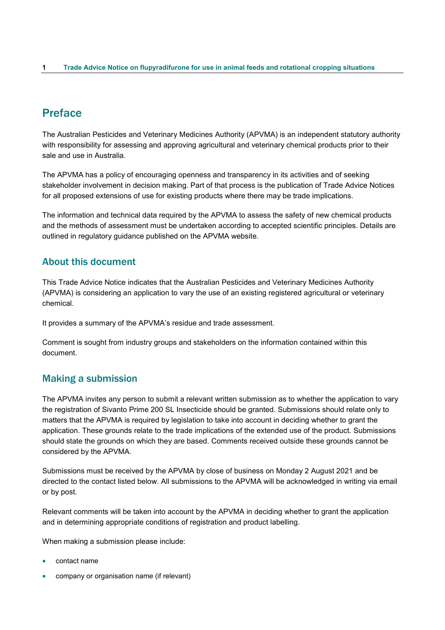# <span id="page-4-0"></span>Preface

The Australian Pesticides and Veterinary Medicines Authority (APVMA) is an independent statutory authority with responsibility for assessing and approving agricultural and veterinary chemical products prior to their sale and use in Australia.

The APVMA has a policy of encouraging openness and transparency in its activities and of seeking stakeholder involvement in decision making. Part of that process is the publication of Trade Advice Notices for all proposed extensions of use for existing products where there may be trade implications.

The information and technical data required by the APVMA to assess the safety of new chemical products and the methods of assessment must be undertaken according to accepted scientific principles. Details are outlined in regulatory guidance published on the APVMA website.

# <span id="page-4-1"></span>About this document

This Trade Advice Notice indicates that the Australian Pesticides and Veterinary Medicines Authority (APVMA) is considering an application to vary the use of an existing registered agricultural or veterinary chemical.

It provides a summary of the APVMA's residue and trade assessment.

Comment is sought from industry groups and stakeholders on the information contained within this document.

### <span id="page-4-2"></span>Making a submission

The APVMA invites any person to submit a relevant written submission as to whether the application to vary the registration of Sivanto Prime 200 SL Insecticide should be granted. Submissions should relate only to matters that the APVMA is required by legislation to take into account in deciding whether to grant the application. These grounds relate to the trade implications of the extended use of the product. Submissions should state the grounds on which they are based. Comments received outside these grounds cannot be considered by the APVMA.

Submissions must be received by the APVMA by close of business on Monday 2 August 2021 and be directed to the contact listed below. All submissions to the APVMA will be acknowledged in writing via email or by post.

Relevant comments will be taken into account by the APVMA in deciding whether to grant the application and in determining appropriate conditions of registration and product labelling.

When making a submission please include:

- contact name
- company or organisation name (if relevant)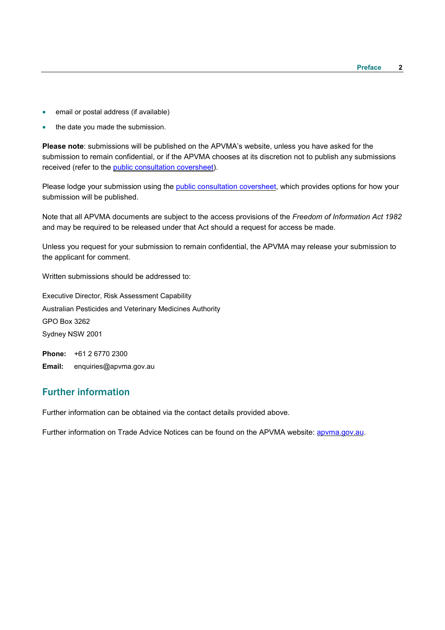- email or postal address (if available)
- the date you made the submission.

**Please note**: submissions will be published on the APVMA's website, unless you have asked for the submission to remain confidential, or if the APVMA chooses at its discretion not to publish any submissions received (refer to the [public consultation coversheet\)](https://apvma.gov.au/node/72856).

Please lodge your submission using the [public consultation coversheet,](https://apvma.gov.au/node/72856) which provides options for how your submission will be published.

Note that all APVMA documents are subject to the access provisions of the *Freedom of Information Act 1982* and may be required to be released under that Act should a request for access be made.

Unless you request for your submission to remain confidential, the APVMA may release your submission to the applicant for comment.

Written submissions should be addressed to:

Executive Director, Risk Assessment Capability Australian Pesticides and Veterinary Medicines Authority GPO Box 3262 Sydney NSW 2001

**Phone:** +61 2 6770 2300 **Email:** enquiries@apvma.gov.au

# <span id="page-5-0"></span>Further information

Further information can be obtained via the contact details provided above.

Further information on Trade Advice Notices can be found on the APVMA website: [apvma.gov.au.](http://www.apvma.gov.au/)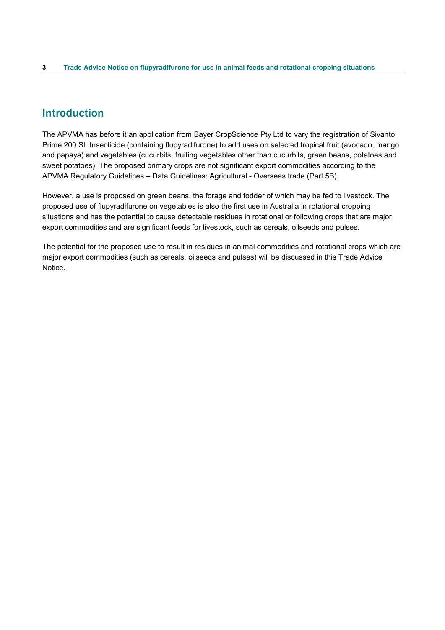# <span id="page-6-0"></span>Introduction

The APVMA has before it an application from Bayer CropScience Pty Ltd to vary the registration of Sivanto Prime 200 SL Insecticide (containing flupyradifurone) to add uses on selected tropical fruit (avocado, mango and papaya) and vegetables (cucurbits, fruiting vegetables other than cucurbits, green beans, potatoes and sweet potatoes). The proposed primary crops are not significant export commodities according to the APVMA Regulatory Guidelines – Data Guidelines: Agricultural - Overseas trade (Part 5B).

However, a use is proposed on green beans, the forage and fodder of which may be fed to livestock. The proposed use of flupyradifurone on vegetables is also the first use in Australia in rotational cropping situations and has the potential to cause detectable residues in rotational or following crops that are major export commodities and are significant feeds for livestock, such as cereals, oilseeds and pulses.

The potential for the proposed use to result in residues in animal commodities and rotational crops which are major export commodities (such as cereals, oilseeds and pulses) will be discussed in this Trade Advice Notice.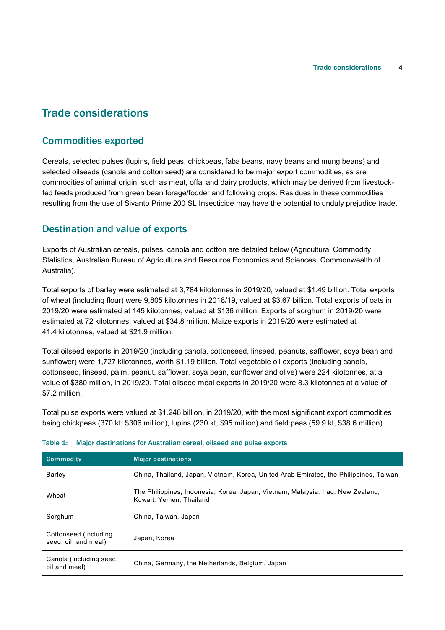# <span id="page-7-0"></span>Trade considerations

# <span id="page-7-1"></span>Commodities exported

Cereals, selected pulses (lupins, field peas, chickpeas, faba beans, navy beans and mung beans) and selected oilseeds (canola and cotton seed) are considered to be major export commodities, as are commodities of animal origin, such as meat, offal and dairy products, which may be derived from livestockfed feeds produced from green bean forage/fodder and following crops. Residues in these commodities resulting from the use of Sivanto Prime 200 SL Insecticide may have the potential to unduly prejudice trade.

# <span id="page-7-2"></span>Destination and value of exports

Exports of Australian cereals, pulses, canola and cotton are detailed below (Agricultural Commodity Statistics, Australian Bureau of Agriculture and Resource Economics and Sciences, Commonwealth of Australia).

Total exports of barley were estimated at 3,784 kilotonnes in 2019/20, valued at \$1.49 billion. Total exports of wheat (including flour) were 9,805 kilotonnes in 2018/19, valued at \$3.67 billion. Total exports of oats in 2019/20 were estimated at 145 kilotonnes, valued at \$136 million. Exports of sorghum in 2019/20 were estimated at 72 kilotonnes, valued at \$34.8 million. Maize exports in 2019/20 were estimated at 41.4 kilotonnes, valued at \$21.9 million.

Total oilseed exports in 2019/20 (including canola, cottonseed, linseed, peanuts, safflower, soya bean and sunflower) were 1,727 kilotonnes, worth \$1.19 billion. Total vegetable oil exports (including canola, cottonseed, linseed, palm, peanut, safflower, soya bean, sunflower and olive) were 224 kilotonnes, at a value of \$380 million, in 2019/20. Total oilseed meal exports in 2019/20 were 8.3 kilotonnes at a value of \$7.2 million.

Total pulse exports were valued at \$1.246 billion, in 2019/20, with the most significant export commodities being chickpeas (370 kt, \$306 million), lupins (230 kt, \$95 million) and field peas (59.9 kt, \$38.6 million)

| <b>Commodity</b>                              | <b>Major destinations</b>                                                                                  |
|-----------------------------------------------|------------------------------------------------------------------------------------------------------------|
| Barley                                        | China, Thailand, Japan, Vietnam, Korea, United Arab Emirates, the Philippines, Taiwan                      |
| Wheat                                         | The Philippines, Indonesia, Korea, Japan, Vietnam, Malaysia, Iraq, New Zealand,<br>Kuwait, Yemen, Thailand |
| Sorghum                                       | China, Taiwan, Japan                                                                                       |
| Cottonseed (including<br>seed, oil, and meal) | Japan, Korea                                                                                               |
| Canola (including seed,<br>oil and meal)      | China, Germany, the Netherlands, Belgium, Japan                                                            |

#### <span id="page-7-3"></span>Table 1: Major destinations for Australian cereal, oilseed and pulse exports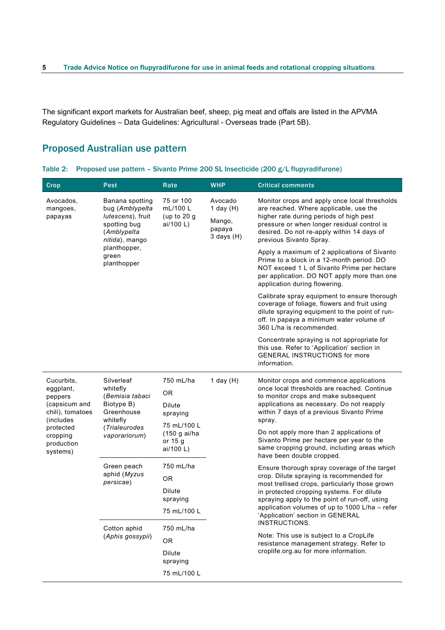The significant export markets for Australian beef, sheep, pig meat and offals are listed in the APVMA Regulatory Guidelines – Data Guidelines: Agricultural - Overseas trade (Part 5B).

# <span id="page-8-1"></span><span id="page-8-0"></span>Proposed Australian use pattern

|  |  |  |  | Table 2: Proposed use pattern – Sivanto Prime 200 SL Insecticide (200 $g/L$ flupyradifurone) |
|--|--|--|--|----------------------------------------------------------------------------------------------|
|--|--|--|--|----------------------------------------------------------------------------------------------|

| <b>Crop</b>                                                                                       | <b>Pest</b>                                                                                                         | Rate                                              | <b>WHP</b>                                                   | <b>Critical comments</b>                                                                                                                                                                                                                                   |
|---------------------------------------------------------------------------------------------------|---------------------------------------------------------------------------------------------------------------------|---------------------------------------------------|--------------------------------------------------------------|------------------------------------------------------------------------------------------------------------------------------------------------------------------------------------------------------------------------------------------------------------|
| Avocados,<br>mangoes,<br>papayas                                                                  | Banana spotting<br>bug (Amblypelta<br>lutescens), fruit<br>spotting bug<br>(Amblypelta<br>nitida), mango            | 75 or 100<br>mL/100 L<br>(up to 20 g<br>ai/100 L) | Avocado<br>1 day $(H)$<br>Mango,<br>papaya<br>$3$ days $(H)$ | Monitor crops and apply once local thresholds<br>are reached. Where applicable, use the<br>higher rate during periods of high pest<br>pressure or when longer residual control is<br>desired. Do not re-apply within 14 days of<br>previous Sivanto Spray. |
|                                                                                                   | planthopper,<br>green<br>planthopper                                                                                |                                                   |                                                              | Apply a maximum of 2 applications of Sivanto<br>Prime to a block in a 12-month period. DO<br>NOT exceed 1 L of Sivanto Prime per hectare<br>per application. DO NOT apply more than one<br>application during flowering.                                   |
|                                                                                                   |                                                                                                                     |                                                   |                                                              | Calibrate spray equipment to ensure thorough<br>coverage of foliage, flowers and fruit using<br>dilute spraying equipment to the point of run-<br>off. In papaya a minimum water volume of<br>360 L/ha is recommended.                                     |
|                                                                                                   |                                                                                                                     |                                                   |                                                              | Concentrate spraying is not appropriate for<br>this use. Refer to 'Application' section in<br><b>GENERAL INSTRUCTIONS for more</b><br>information.                                                                                                         |
| Cucurbits,<br>eggplant,<br>peppers                                                                | Silverleaf<br>whitefly<br>(Bemisia tabaci<br>Biotype B)<br>Greenhouse<br>whitefly<br>(Trialeurodes<br>vaporariorum) | 750 mL/ha<br>0R                                   | 1 day $(H)$                                                  | Monitor crops and commence applications<br>once local thresholds are reached. Continue<br>to monitor crops and make subsequent                                                                                                                             |
| (capsicum and<br>chili), tomatoes<br>(includes<br>protected<br>cropping<br>production<br>systems) |                                                                                                                     | Dilute<br>spraying<br>75 mL/100 L                 |                                                              | applications as necessary. Do not reapply<br>within 7 days of a previous Sivanto Prime<br>spray.                                                                                                                                                           |
|                                                                                                   |                                                                                                                     | (150 g ai/ha<br>or 15 g<br>ai/100 L)              |                                                              | Do not apply more than 2 applications of<br>Sivanto Prime per hectare per year to the<br>same cropping ground, including areas which<br>have been double cropped.                                                                                          |
|                                                                                                   | Green peach<br>aphid (Myzus<br>persicae)                                                                            | 750 mL/ha<br>0R                                   |                                                              | Ensure thorough spray coverage of the target<br>crop. Dilute spraying is recommended for                                                                                                                                                                   |
|                                                                                                   |                                                                                                                     | Dilute                                            |                                                              | most trellised crops, particularly those grown<br>in protected cropping systems. For dilute                                                                                                                                                                |
|                                                                                                   |                                                                                                                     | spraying<br>75 mL/100 L                           |                                                              | spraying apply to the point of run-off, using<br>application volumes of up to 1000 L/ha - refer                                                                                                                                                            |
|                                                                                                   | Cotton aphid                                                                                                        | 750 mL/ha                                         |                                                              | 'Application' section in GENERAL<br>INSTRUCTIONS.                                                                                                                                                                                                          |
|                                                                                                   | (Aphis gossypii)                                                                                                    | 0R                                                |                                                              | Note: This use is subject to a CropLife<br>resistance management strategy. Refer to                                                                                                                                                                        |
|                                                                                                   |                                                                                                                     | <b>Dilute</b><br>spraying                         |                                                              | croplife.org.au for more information.                                                                                                                                                                                                                      |
|                                                                                                   |                                                                                                                     | 75 mL/100 L                                       |                                                              |                                                                                                                                                                                                                                                            |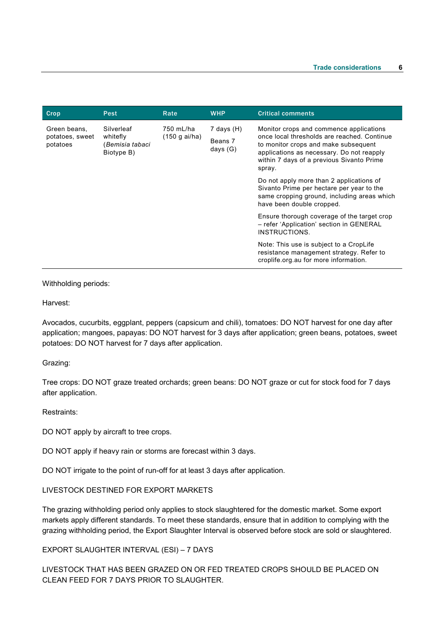| Crop                                        | <b>Pest</b>                                                                                                                              | Rate | <b>WHP</b>                                                                                                                                                                                                               | <b>Critical comments</b>                                                                                                                                          |
|---------------------------------------------|------------------------------------------------------------------------------------------------------------------------------------------|------|--------------------------------------------------------------------------------------------------------------------------------------------------------------------------------------------------------------------------|-------------------------------------------------------------------------------------------------------------------------------------------------------------------|
| Green beans,<br>potatoes, sweet<br>potatoes | Silverleaf<br>750 mL/ha<br>7 days $(H)$<br>(150 g ai/ha)<br>whitefly<br>Beans 7<br>(Bemisia tabaci<br>days $(G)$<br>Biotype B)<br>spray. |      | Monitor crops and commence applications<br>once local thresholds are reached. Continue<br>to monitor crops and make subsequent<br>applications as necessary. Do not reapply<br>within 7 days of a previous Sivanto Prime |                                                                                                                                                                   |
|                                             |                                                                                                                                          |      |                                                                                                                                                                                                                          | Do not apply more than 2 applications of<br>Sivanto Prime per hectare per year to the<br>same cropping ground, including areas which<br>have been double cropped. |
|                                             |                                                                                                                                          |      |                                                                                                                                                                                                                          | Ensure thorough coverage of the target crop<br>- refer 'Application' section in GENERAL<br>INSTRUCTIONS.                                                          |
|                                             |                                                                                                                                          |      |                                                                                                                                                                                                                          | Note: This use is subject to a CropLife<br>resistance management strategy. Refer to<br>croplife.org.au for more information.                                      |

#### Withholding periods:

#### Harvest:

Avocados, cucurbits, eggplant, peppers (capsicum and chili), tomatoes: DO NOT harvest for one day after application; mangoes, papayas: DO NOT harvest for 3 days after application; green beans, potatoes, sweet potatoes: DO NOT harvest for 7 days after application.

#### Grazing:

Tree crops: DO NOT graze treated orchards; green beans: DO NOT graze or cut for stock food for 7 days after application.

#### Restraints:

DO NOT apply by aircraft to tree crops.

DO NOT apply if heavy rain or storms are forecast within 3 days.

DO NOT irrigate to the point of run-off for at least 3 days after application.

#### LIVESTOCK DESTINED FOR EXPORT MARKETS

The grazing withholding period only applies to stock slaughtered for the domestic market. Some export markets apply different standards. To meet these standards, ensure that in addition to complying with the grazing withholding period, the Export Slaughter Interval is observed before stock are sold or slaughtered.

EXPORT SLAUGHTER INTERVAL (ESI) – 7 DAYS

LIVESTOCK THAT HAS BEEN GRAZED ON OR FED TREATED CROPS SHOULD BE PLACED ON CLEAN FEED FOR 7 DAYS PRIOR TO SLAUGHTER.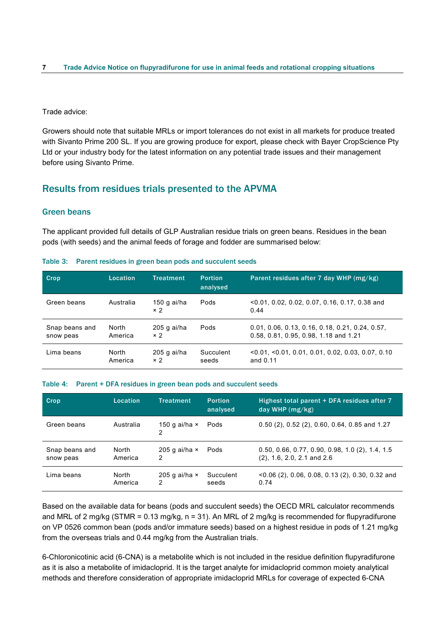Trade advice:

Growers should note that suitable MRLs or import tolerances do not exist in all markets for produce treated with Sivanto Prime 200 SL. If you are growing produce for export, please check with Bayer CropScience Pty Ltd or your industry body for the latest information on any potential trade issues and their management before using Sivanto Prime.

# <span id="page-10-1"></span><span id="page-10-0"></span>Results from residues trials presented to the APVMA

#### Green beans

The applicant provided full details of GLP Australian residue trials on green beans. Residues in the bean pods (with seeds) and the animal feeds of forage and fodder are summarised below:

| Crop           | Location  | <b>Treatment</b>          | <b>Portion</b><br>analysed | Parent residues after 7 day WHP (mg/kg)                               |
|----------------|-----------|---------------------------|----------------------------|-----------------------------------------------------------------------|
| Green beans    | Australia | 150 g ai/ha<br>$\times$ 2 | Pods                       | $0.01, 0.02, 0.02, 0.07, 0.16, 0.17, 0.38$ and<br>0.44                |
| Snap beans and | North     | $205$ g ai/ha             | Pods                       | $0.01, 0.06, 0.13, 0.16, 0.18, 0.21, 0.24, 0.57,$                     |
| snow peas      | America   | $\times$ 2                |                            | 0.58, 0.81, 0.95, 0.98, 1.18 and 1.21                                 |
| Lima beans     | North     | $205$ g ai/ha             | Succulent                  | $0.01$ , $0.01$ , $0.01$ , $0.01$ , $0.02$ , $0.03$ , $0.07$ , $0.10$ |
|                | America   | $\times$ 2                | seeds                      | and $0.11$                                                            |

<span id="page-10-2"></span>Table 3: Parent residues in green bean pods and succulent seeds

#### <span id="page-10-3"></span>Table 4: Parent + DFA residues in green bean pods and succulent seeds

| Crop           | Location  | <b>Treatment</b>     | <b>Portion</b><br>analysed | Highest total parent + DFA residues after 7<br>day WHP $(mg/kg)$ |
|----------------|-----------|----------------------|----------------------------|------------------------------------------------------------------|
| Green beans    | Australia | 150 g ai/ha ×<br>2   | Pods                       | $0.50$ (2), $0.52$ (2), $0.60$ , $0.64$ , $0.85$ and $1.27$      |
| Snap beans and | North     | 205 q ai/ha $\times$ | Pods                       | $0.50, 0.66, 0.77, 0.90, 0.98, 1.0 (2), 1.4, 1.5$                |
| snow peas      | America   | 2                    |                            | $(2)$ , 1.6, 2.0, 2.1 and 2.6                                    |
| Lima beans     | North     | 205 g ai/ha $\times$ | Succulent                  | $<$ 0.06 (2), 0.06, 0.08, 0.13 (2), 0.30, 0.32 and               |
|                | America   | 2                    | seeds                      | 0.74                                                             |

Based on the available data for beans (pods and succulent seeds) the OECD MRL calculator recommends and MRL of 2 mg/kg (STMR = 0.13 mg/kg, n = 31). An MRL of 2 mg/kg is recommended for flupyradifurone on VP 0526 common bean (pods and/or immature seeds) based on a highest residue in pods of 1.21 mg/kg from the overseas trials and 0.44 mg/kg from the Australian trials.

6-Chloronicotinic acid (6-CNA) is a metabolite which is not included in the residue definition flupyradifurone as it is also a metabolite of imidacloprid. It is the target analyte for imidacloprid common moiety analytical methods and therefore consideration of appropriate imidacloprid MRLs for coverage of expected 6-CNA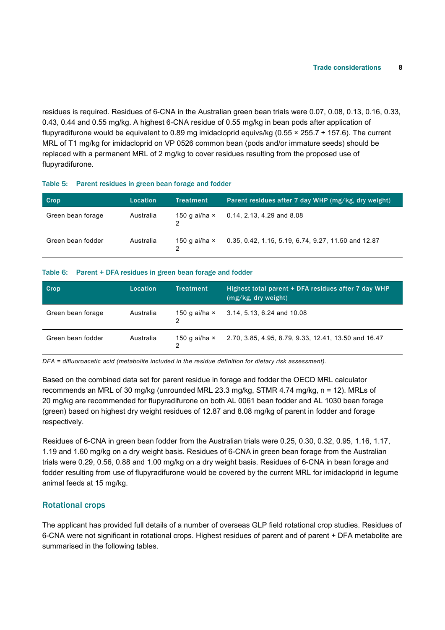residues is required. Residues of 6-CNA in the Australian green bean trials were 0.07, 0.08, 0.13, 0.16, 0.33, 0.43, 0.44 and 0.55 mg/kg. A highest 6-CNA residue of 0.55 mg/kg in bean pods after application of flupyradifurone would be equivalent to 0.89 mg imidacloprid equivs/kg (0.55  $\times$  255.7 ÷ 157.6). The current MRL of T1 mg/kg for imidacloprid on VP 0526 common bean (pods and/or immature seeds) should be replaced with a permanent MRL of 2 mg/kg to cover residues resulting from the proposed use of flupyradifurone.

<span id="page-11-1"></span>

| Crop              | Location  | <b>Treatment</b>     | Parent residues after 7 day WHP (mg/kg, dry weight) |
|-------------------|-----------|----------------------|-----------------------------------------------------|
| Green bean forage | Australia | 150 g ai/ha $\times$ | 0.14, 2.13, 4.29 and 8.08                           |
| Green bean fodder | Australia | 150 g ai/ha $\times$ | 0.35, 0.42, 1.15, 5.19, 6.74, 9.27, 11.50 and 12.87 |

#### <span id="page-11-2"></span>Table 6: Parent + DFA residues in green bean forage and fodder

| Crop              | Location  | <b>Treatment</b>          | Highest total parent + DFA residues after 7 day WHP<br>(mg/kg, dry weight) |
|-------------------|-----------|---------------------------|----------------------------------------------------------------------------|
| Green bean forage | Australia | 150 g ai/ha $\times$<br>2 | 3.14, 5.13, 6.24 and 10.08                                                 |
| Green bean fodder | Australia | 150 g ai/ha $\times$      | 2.70, 3.85, 4.95, 8.79, 9.33, 12.41, 13.50 and 16.47                       |

*DFA = difluoroacetic acid (metabolite included in the residue definition for dietary risk assessment).*

Based on the combined data set for parent residue in forage and fodder the OECD MRL calculator recommends an MRL of 30 mg/kg (unrounded MRL 23.3 mg/kg, STMR 4.74 mg/kg, n = 12). MRLs of 20 mg/kg are recommended for flupyradifurone on both AL 0061 bean fodder and AL 1030 bean forage (green) based on highest dry weight residues of 12.87 and 8.08 mg/kg of parent in fodder and forage respectively.

Residues of 6-CNA in green bean fodder from the Australian trials were 0.25, 0.30, 0.32, 0.95, 1.16, 1.17, 1.19 and 1.60 mg/kg on a dry weight basis. Residues of 6-CNA in green bean forage from the Australian trials were 0.29, 0.56, 0.88 and 1.00 mg/kg on a dry weight basis. Residues of 6-CNA in bean forage and fodder resulting from use of flupyradifurone would be covered by the current MRL for imidacloprid in legume animal feeds at 15 mg/kg.

### <span id="page-11-0"></span>Rotational crops

The applicant has provided full details of a number of overseas GLP field rotational crop studies. Residues of 6-CNA were not significant in rotational crops. Highest residues of parent and of parent + DFA metabolite are summarised in the following tables.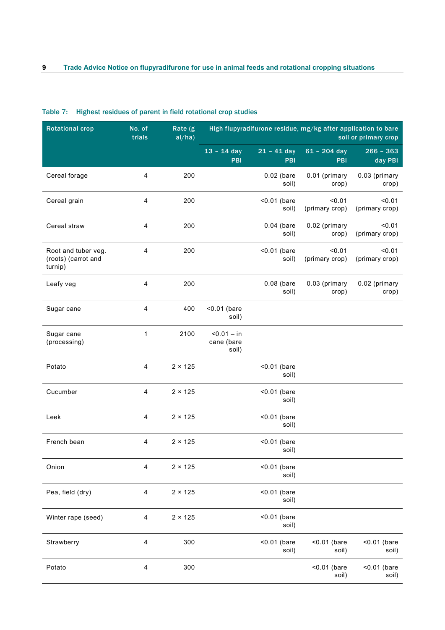| <b>Rotational crop</b>                                | No. of<br>trials        | Rate (g<br>ai/ha) | High flupyradifurone residue, mg/kg after application to bare<br>soil or primary crop |                         |                          |                          |
|-------------------------------------------------------|-------------------------|-------------------|---------------------------------------------------------------------------------------|-------------------------|--------------------------|--------------------------|
|                                                       |                         |                   | $13 - 14$ day<br>PBI                                                                  | $21 - 41$ day<br>PBI    | $61 - 204$ day<br>PBI    | $266 - 363$<br>day PBI   |
| Cereal forage                                         | $\overline{4}$          | 200               |                                                                                       | $0.02$ (bare<br>soil)   | 0.01 (primary<br>crop)   | 0.03 (primary<br>crop)   |
| Cereal grain                                          | 4                       | 200               |                                                                                       | $<$ 0.01 (bare<br>soil) | < 0.01<br>(primary crop) | < 0.01<br>(primary crop) |
| Cereal straw                                          | 4                       | 200               |                                                                                       | $0.04$ (bare<br>soil)   | 0.02 (primary<br>crop)   | < 0.01<br>(primary crop) |
| Root and tuber veg.<br>(roots) (carrot and<br>turnip) | $\overline{4}$          | 200               |                                                                                       | $<$ 0.01 (bare<br>soil) | < 0.01<br>(primary crop) | < 0.01<br>(primary crop) |
| Leafy veg                                             | 4                       | 200               |                                                                                       | $0.08$ (bare<br>soil)   | 0.03 (primary<br>crop)   | 0.02 (primary<br>crop)   |
| Sugar cane                                            | $\overline{\mathbf{4}}$ | 400               | $<$ 0.01 (bare<br>soil)                                                               |                         |                          |                          |
| Sugar cane<br>(processing)                            | 1                       | 2100              | $< 0.01 - in$<br>cane (bare<br>soil)                                                  |                         |                          |                          |
| Potato                                                | $\overline{4}$          | $2 \times 125$    |                                                                                       | $<$ 0.01 (bare<br>soil) |                          |                          |
| Cucumber                                              | 4                       | 2 × 125           |                                                                                       | $<$ 0.01 (bare<br>soil) |                          |                          |
| Leek                                                  | 4                       | 2 × 125           |                                                                                       | $<$ 0.01 (bare<br>soil) |                          |                          |
| French bean                                           | $\overline{4}$          | 2 × 125           |                                                                                       | $<$ 0.01 (bare<br>soil) |                          |                          |
| Onion                                                 | 4                       | $2 \times 125$    |                                                                                       | $< 0.01$ (bare<br>soil) |                          |                          |
| Pea, field (dry)                                      | 4                       | 2 × 125           |                                                                                       | $<$ 0.01 (bare<br>soil) |                          |                          |
| Winter rape (seed)                                    | $\overline{\mathbf{4}}$ | $2 \times 125$    |                                                                                       | $<0.01$ (bare<br>soil)  |                          |                          |
| Strawberry                                            | $\overline{\mathbf{4}}$ | 300               |                                                                                       | $< 0.01$ (bare<br>soil) | $<$ 0.01 (bare<br>soil)  | $<$ 0.01 (bare<br>soil)  |
| Potato                                                | 4                       | 300               |                                                                                       |                         | $<$ 0.01 (bare<br>soil)  | $<$ 0.01 (bare<br>soil)  |

#### <span id="page-12-0"></span>Table 7: Highest residues of parent in field rotational crop studies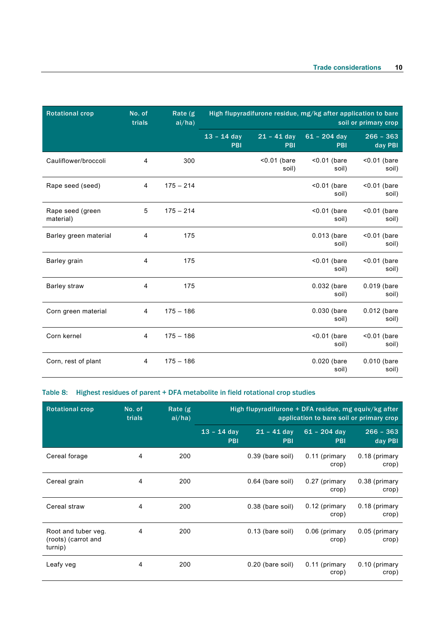| <b>Rotational crop</b>        | No. of<br>trials | Rate (g<br>ai/ha) | High flupyradifurone residue, mg/kg after application to bare<br>soil or primary crop |                             |                              |                         |
|-------------------------------|------------------|-------------------|---------------------------------------------------------------------------------------|-----------------------------|------------------------------|-------------------------|
|                               |                  |                   | $13 - 14$ day<br>PBI                                                                  | $21 - 41$ day<br><b>PBI</b> | $61 - 204$ day<br><b>PBI</b> | $266 - 363$<br>day PBI  |
| Cauliflower/broccoli          | 4                | 300               |                                                                                       | $< 0.01$ (bare<br>soil)     | $< 0.01$ (bare<br>soil)      | $< 0.01$ (bare<br>soil) |
| Rape seed (seed)              | 4                | $175 - 214$       |                                                                                       |                             | $<0.01$ (bare<br>soil)       | $< 0.01$ (bare<br>soil) |
| Rape seed (green<br>material) | 5                | $175 - 214$       |                                                                                       |                             | $< 0.01$ (bare<br>soil)      | $< 0.01$ (bare<br>soil) |
| Barley green material         | 4                | 175               |                                                                                       |                             | 0.013 (bare<br>soil)         | $< 0.01$ (bare<br>soil) |
| Barley grain                  | 4                | 175               |                                                                                       |                             | $< 0.01$ (bare<br>soil)      | $< 0.01$ (bare<br>soil) |
| Barley straw                  | 4                | 175               |                                                                                       |                             | 0.032 (bare<br>soil)         | 0.019 (bare<br>soil)    |
| Corn green material           | 4                | $175 - 186$       |                                                                                       |                             | 0.030 (bare<br>soil)         | $0.012$ (bare<br>soil)  |
| Corn kernel                   | $\overline{4}$   | $175 - 186$       |                                                                                       |                             | $<$ 0.01 (bare<br>soil)      | $<$ 0.01 (bare<br>soil) |
| Corn, rest of plant           | 4                | $175 - 186$       |                                                                                       |                             | 0.020 (bare<br>soil)         | 0.010 (bare<br>soil)    |

### <span id="page-13-0"></span>Table 8: Highest residues of parent + DFA metabolite in field rotational crop studies

| <b>Rotational crop</b>                                | No. of<br>trials | Rate (g)<br>ai/ha) | High flupyradifurone + DFA residue, mg equiv/kg after<br>application to bare soil or primary crop |                             |                              |                          |
|-------------------------------------------------------|------------------|--------------------|---------------------------------------------------------------------------------------------------|-----------------------------|------------------------------|--------------------------|
|                                                       |                  |                    | $13 - 14$ day<br>PBI                                                                              | $21 - 41$ day<br><b>PBI</b> | $61 - 204$ day<br><b>PBI</b> | $266 - 363$<br>day PBI   |
| Cereal forage                                         | 4                | 200                |                                                                                                   | $0.39$ (bare soil)          | $0.11$ (primary<br>crop)     | $0.18$ (primary<br>crop) |
| Cereal grain                                          | 4                | 200                |                                                                                                   | $0.64$ (bare soil)          | $0.27$ (primary<br>crop)     | $0.38$ (primary<br>crop) |
| Cereal straw                                          | 4                | 200                |                                                                                                   | $0.38$ (bare soil)          | $0.12$ (primary<br>crop)     | $0.18$ (primary<br>crop) |
| Root and tuber veg.<br>(roots) (carrot and<br>turnip) | 4                | 200                |                                                                                                   | $0.13$ (bare soil)          | 0.06 (primary<br>crop)       | $0.05$ (primary<br>crop) |
| Leafy veg                                             | 4                | 200                |                                                                                                   | $0.20$ (bare soil)          | $0.11$ (primary<br>crop)     | $0.10$ (primary<br>crop) |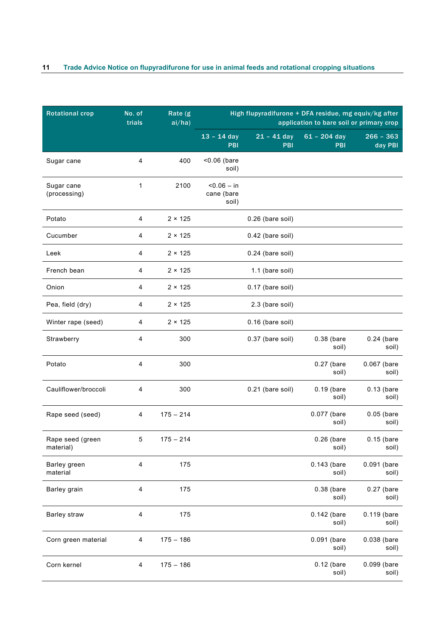| <b>Rotational crop</b>        | No. of<br>trials        | Rate (g<br>ai/ha) | High flupyradifurone + DFA residue, mg equiv/kg after<br>application to bare soil or primary crop |                             |                       |                        |
|-------------------------------|-------------------------|-------------------|---------------------------------------------------------------------------------------------------|-----------------------------|-----------------------|------------------------|
|                               |                         |                   | $13 - 14$ day<br>PBI                                                                              | $21 - 41$ day<br><b>PBI</b> | $61 - 204$ day<br>PBI | $266 - 363$<br>day PBI |
| Sugar cane                    | 4                       | 400               | $<$ 0.06 (bare<br>soil)                                                                           |                             |                       |                        |
| Sugar cane<br>(processing)    | 1                       | 2100              | $< 0.06 - in$<br>cane (bare<br>soil)                                                              |                             |                       |                        |
| Potato                        | 4                       | 2 × 125           |                                                                                                   | 0.26 (bare soil)            |                       |                        |
| Cucumber                      | 4                       | 2 × 125           |                                                                                                   | 0.42 (bare soil)            |                       |                        |
| Leek                          | 4                       | 2 × 125           |                                                                                                   | 0.24 (bare soil)            |                       |                        |
| French bean                   | 4                       | 2 × 125           |                                                                                                   | 1.1 (bare soil)             |                       |                        |
| Onion                         | 4                       | 2 × 125           |                                                                                                   | 0.17 (bare soil)            |                       |                        |
| Pea, field (dry)              | 4                       | 2 × 125           |                                                                                                   | 2.3 (bare soil)             |                       |                        |
| Winter rape (seed)            | 4                       | $2 \times 125$    |                                                                                                   | 0.16 (bare soil)            |                       |                        |
| Strawberry                    | 4                       | 300               |                                                                                                   | 0.37 (bare soil)            | $0.38$ (bare<br>soil) | $0.24$ (bare<br>soil)  |
| Potato                        | $\overline{\mathbf{4}}$ | 300               |                                                                                                   |                             | 0.27 (bare<br>soil)   | 0.067 (bare<br>soil)   |
| Cauliflower/broccoli          | 4                       | 300               |                                                                                                   | 0.21 (bare soil)            | $0.19$ (bare<br>soil) | $0.13$ (bare<br>soil)  |
| Rape seed (seed)              | 4                       | $175 - 214$       |                                                                                                   |                             | 0.077 (bare<br>soil)  | $0.05$ (bare<br>soil)  |
| Rape seed (green<br>material) | 5                       | $175 - 214$       |                                                                                                   |                             | $0.26$ (bare<br>soil) | $0.15$ (bare<br>soil)  |
| Barley green<br>material      | 4                       | 175               |                                                                                                   |                             | 0.143 (bare<br>soil)  | 0.091 (bare<br>soil)   |
| Barley grain                  | 4                       | 175               |                                                                                                   |                             | $0.38$ (bare<br>soil) | $0.27$ (bare<br>soil)  |
| <b>Barley straw</b>           | 4                       | 175               |                                                                                                   |                             | 0.142 (bare<br>soil)  | 0.119 (bare<br>soil)   |
| Corn green material           | 4                       | $175 - 186$       |                                                                                                   |                             | 0.091 (bare<br>soil)  | 0.038 (bare<br>soil)   |
| Corn kernel                   | $\overline{\mathbf{4}}$ | $175 - 186$       |                                                                                                   |                             | $0.12$ (bare<br>soil) | 0.099 (bare<br>soil)   |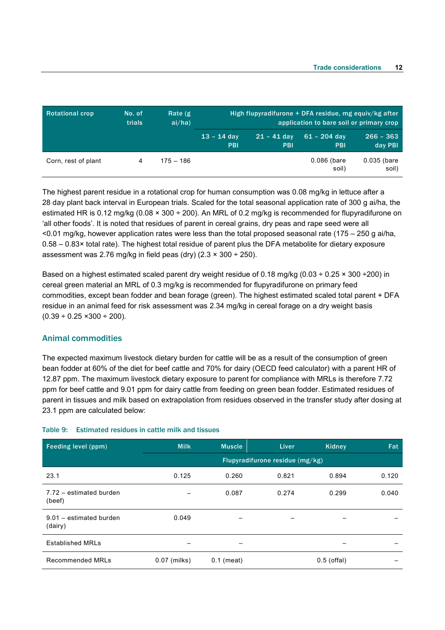| <b>Rotational crop</b> | No. of<br>trials | Rate $(g)$<br>ai/ha) | High flupyradifurone + DFA residue, mg equiv/kg after<br>application to bare soil or primary crop |                             |                              |                        |
|------------------------|------------------|----------------------|---------------------------------------------------------------------------------------------------|-----------------------------|------------------------------|------------------------|
|                        |                  |                      | $13 - 14$ day<br><b>PBI</b>                                                                       | $21 - 41$ day<br><b>PBI</b> | $61 - 204$ day<br><b>PBI</b> | $266 - 363$<br>day PBI |
| Corn, rest of plant    | 4                | $175 - 186$          |                                                                                                   |                             | 0.086 (bare<br>soil)         | $0.035$ (bare<br>soil) |

The highest parent residue in a rotational crop for human consumption was 0.08 mg/kg in lettuce after a 28 day plant back interval in European trials. Scaled for the total seasonal application rate of 300 g ai/ha, the estimated HR is 0.12 mg/kg (0.08 × 300 ÷ 200). An MRL of 0.2 mg/kg is recommended for flupyradifurone on 'all other foods'. It is noted that residues of parent in cereal grains, dry peas and rape seed were all <0.01 mg/kg, however application rates were less than the total proposed seasonal rate (175 – 250 g ai/ha, 0.58 – 0.83× total rate). The highest total residue of parent plus the DFA metabolite for dietary exposure assessment was 2.76 mg/kg in field peas (dry) (2.3  $\times$  300 ÷ 250).

Based on a highest estimated scaled parent dry weight residue of 0.18 mg/kg (0.03  $\div$  0.25  $\times$  300  $\div$ 200) in cereal green material an MRL of 0.3 mg/kg is recommended for flupyradifurone on primary feed commodities, except bean fodder and bean forage (green). The highest estimated scaled total parent + DFA residue in an animal feed for risk assessment was 2.34 mg/kg in cereal forage on a dry weight basis  $(0.39 \div 0.25 \times 300 \div 200)$ .

### <span id="page-15-0"></span>Animal commodities

The expected maximum livestock dietary burden for cattle will be as a result of the consumption of green bean fodder at 60% of the diet for beef cattle and 70% for dairy (OECD feed calculator) with a parent HR of 12.87 ppm. The maximum livestock dietary exposure to parent for compliance with MRLs is therefore 7.72 ppm for beef cattle and 9.01 ppm for dairy cattle from feeding on green bean fodder. Estimated residues of parent in tissues and milk based on extrapolation from residues observed in the transfer study after dosing at 23.1 ppm are calculated below:

| Feeding level (ppm)                  | <b>Milk</b>    | <b>Muscle</b> | <b>Liver</b>                    | Kidney        | Fat   |
|--------------------------------------|----------------|---------------|---------------------------------|---------------|-------|
|                                      |                |               | Flupyradifurone residue (mg/kg) |               |       |
| 23.1                                 | 0.125          | 0.260         | 0.821                           | 0.894         | 0.120 |
| 7.72 - estimated burden<br>(beef)    |                | 0.087         | 0.274                           | 0.299         | 0.040 |
| $9.01 -$ estimated burden<br>(dairy) | 0.049          |               |                                 |               |       |
| <b>Established MRLs</b>              |                |               |                                 |               |       |
| Recommended MRLs                     | $0.07$ (milks) | $0.1$ (meat)  |                                 | $0.5$ (offal) |       |

#### <span id="page-15-1"></span>Table 9: Estimated residues in cattle milk and tissues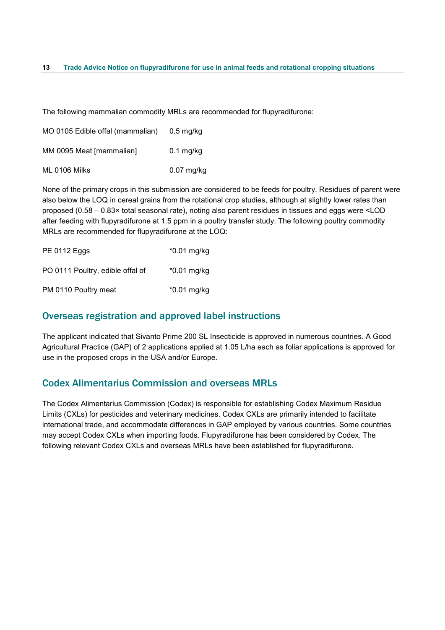The following mammalian commodity MRLs are recommended for flupyradifurone:

| MO 0105 Edible offal (mammalian) | $0.5$ mg/kg  |
|----------------------------------|--------------|
| MM 0095 Meat [mammalian]         | $0.1$ mg/kg  |
| ML 0106 Milks                    | $0.07$ mg/kg |

None of the primary crops in this submission are considered to be feeds for poultry. Residues of parent were also below the LOQ in cereal grains from the rotational crop studies, although at slightly lower rates than proposed (0.58 – 0.83× total seasonal rate), noting also parent residues in tissues and eggs were <LOD after feeding with flupyradifurone at 1.5 ppm in a poultry transfer study. The following poultry commodity MRLs are recommended for flupyradifurone at the LOQ:

| PE 0112 Eggs                     | $*0.01$ mg/kg |
|----------------------------------|---------------|
| PO 0111 Poultry, edible offal of | $*0.01$ mg/kg |
| PM 0110 Poultry meat             | *0.01 mg/kg   |

# <span id="page-16-0"></span>Overseas registration and approved label instructions

The applicant indicated that Sivanto Prime 200 SL Insecticide is approved in numerous countries. A Good Agricultural Practice (GAP) of 2 applications applied at 1.05 L/ha each as foliar applications is approved for use in the proposed crops in the USA and/or Europe.

### <span id="page-16-1"></span>Codex Alimentarius Commission and overseas MRLs

The Codex Alimentarius Commission (Codex) is responsible for establishing Codex Maximum Residue Limits (CXLs) for pesticides and veterinary medicines. Codex CXLs are primarily intended to facilitate international trade, and accommodate differences in GAP employed by various countries. Some countries may accept Codex CXLs when importing foods. Flupyradifurone has been considered by Codex. The following relevant Codex CXLs and overseas MRLs have been established for flupyradifurone.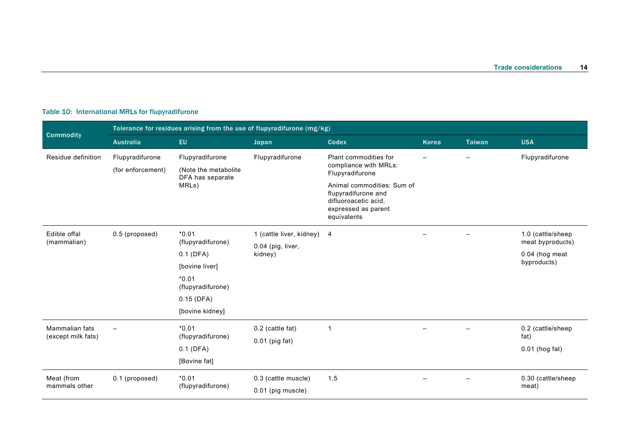<span id="page-17-0"></span>

|                                                            | Tolerance for residues arising from the use of flupyradifurone (mg/kg) |                                                             |                                                                                                                 |                                                                   |              |               |                                       |  |
|------------------------------------------------------------|------------------------------------------------------------------------|-------------------------------------------------------------|-----------------------------------------------------------------------------------------------------------------|-------------------------------------------------------------------|--------------|---------------|---------------------------------------|--|
| <b>Commodity</b>                                           | <b>Australia</b>                                                       | EU                                                          | <b>Japan</b>                                                                                                    | Codex                                                             | <b>Korea</b> | <b>Taiwan</b> | <b>USA</b>                            |  |
| Flupyradifurone<br>Residue definition<br>(for enforcement) |                                                                        | Flupyradifurone<br>(Note the metabolite<br>DFA has separate | Flupyradifurone                                                                                                 | Plant commodities for<br>compliance with MRLs:<br>Flupyradifurone |              |               | Flupyradifurone                       |  |
|                                                            | MRLs)                                                                  |                                                             | Animal commodities: Sum of<br>flupyradifurone and<br>difluoroacetic acid,<br>expressed as parent<br>equivalents |                                                                   |              |               |                                       |  |
| Edible offal<br>(mammalian)                                | 0.5 (proposed)                                                         | $*0.01$<br>(flupyradifurone)                                | 1 (cattle liver, kidney)                                                                                        | $\overline{4}$                                                    |              |               | 1.0 (cattle/sheep<br>meat byproducts) |  |
|                                                            |                                                                        | $0.1$ (DFA)                                                 | 0.04 (pig, liver,<br>kidney)                                                                                    |                                                                   |              |               | $0.04$ (hog meat                      |  |
|                                                            |                                                                        | [bovine liver]                                              |                                                                                                                 |                                                                   |              |               | byproducts)                           |  |
|                                                            |                                                                        | $*0.01$<br>(flupyradifurone)                                |                                                                                                                 |                                                                   |              |               |                                       |  |
|                                                            |                                                                        | $0.15$ (DFA)                                                |                                                                                                                 |                                                                   |              |               |                                       |  |
|                                                            |                                                                        | [bovine kidney]                                             |                                                                                                                 |                                                                   |              |               |                                       |  |
| Mammalian fats<br>(except milk fats)                       |                                                                        | $*0.01$<br>(flupyradifurone)                                | 0.2 (cattle fat)<br>0.01 (pig fat)                                                                              | $\mathbf 1$                                                       |              |               | 0.2 (cattle/sheep<br>fat)             |  |
|                                                            |                                                                        | $0.1$ (DFA)                                                 |                                                                                                                 |                                                                   |              |               | 0.01 (hog fat)                        |  |
|                                                            |                                                                        | [Bovine fat]                                                |                                                                                                                 |                                                                   |              |               |                                       |  |
| Meat (from                                                 | 0.1 (proposed)                                                         | $*0.01$                                                     | 0.3 (cattle muscle)                                                                                             | 1.5                                                               |              |               | 0.30 (cattle/sheep                    |  |
| mammals other                                              |                                                                        | (flupyradifurone)                                           | 0.01 (pig muscle)                                                                                               |                                                                   |              |               | meat)                                 |  |

### Table 10: International MRLs for flupyradifurone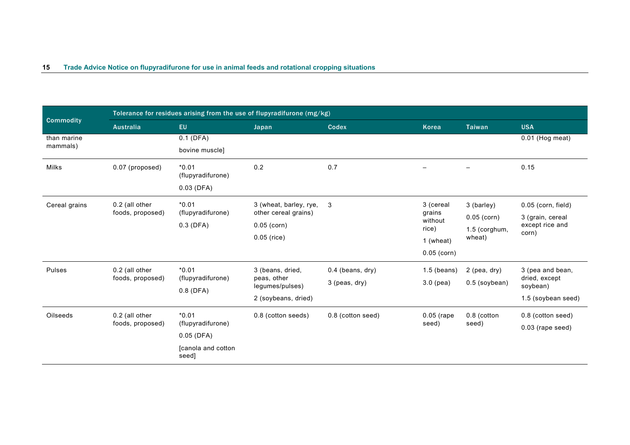#### **15 Trade Advice Notice on flupyradifurone for use in animal feeds and rotational cropping situations**

|                  | Tolerance for residues arising from the use of flupyradifurone (mg/kg) |                                  |                                                    |                    |                   |                                |                           |  |
|------------------|------------------------------------------------------------------------|----------------------------------|----------------------------------------------------|--------------------|-------------------|--------------------------------|---------------------------|--|
| <b>Commodity</b> | <b>Australia</b>                                                       | EU.                              | Japan                                              | Codex              | Korea             | Taiwan                         | <b>USA</b>                |  |
| than marine      |                                                                        | $0.1$ (DFA)                      |                                                    |                    |                   |                                | 0.01 (Hog meat)           |  |
| mammals)         |                                                                        | bovine muscle]                   |                                                    |                    |                   |                                |                           |  |
| Milks            | 0.07 (proposed)                                                        | $*0.01$<br>(flupyradifurone)     | 0.2                                                | 0.7                |                   |                                | 0.15                      |  |
|                  |                                                                        |                                  |                                                    |                    |                   |                                |                           |  |
|                  |                                                                        | $0.03$ (DFA)                     |                                                    |                    |                   |                                |                           |  |
| Cereal grains    | 0.2 (all other                                                         | $*0.01$                          | 3 (wheat, barley, rye,                             | 3                  | 3 (cereal         | 3 (barley)                     | $0.05$ (corn, field)      |  |
|                  | foods, proposed)                                                       | (flupyradifurone)                | other cereal grains)                               |                    | grains<br>without | $0.05$ (corn)<br>1.5 (corghum, | 3 (grain, cereal          |  |
|                  |                                                                        | $0.3$ (DFA)                      | $0.05$ (corn)                                      |                    | rice)             |                                | except rice and<br>corn)  |  |
|                  |                                                                        |                                  | $0.05$ (rice)                                      |                    | 1 (wheat)         | wheat)                         |                           |  |
|                  |                                                                        |                                  |                                                    |                    | $0.05$ (corn)     |                                |                           |  |
| <b>Pulses</b>    | 0.2 (all other<br>foods, proposed)                                     | $*0.01$                          | 3 (beans, dried,<br>peas, other<br>legumes/pulses) | $0.4$ (beans, dry) | $1.5$ (beans)     | $2$ (pea, dry)                 | 3 (pea and bean,          |  |
|                  |                                                                        | (flupyradifurone)<br>$0.8$ (DFA) |                                                    | 3 (peas, dry)      | $3.0$ (pea)       | 0.5 (soybean)                  | dried, except<br>soybean) |  |
|                  |                                                                        |                                  | 2 (soybeans, dried)                                |                    |                   |                                | 1.5 (soybean seed)        |  |
| Oilseeds         | 0.2 (all other                                                         | $*0.01$                          | 0.8 (cotton seeds)                                 | 0.8 (cotton seed)  | $0.05$ (rape      | 0.8 (cotton<br>seed)           | 0.8 (cotton seed)         |  |
|                  | foods, proposed)                                                       | (flupyradifurone)                |                                                    |                    | seed)             |                                | $0.03$ (rape seed)        |  |
|                  |                                                                        | $0.05$ (DFA)                     |                                                    |                    |                   |                                |                           |  |
|                  |                                                                        | [canola and cotton<br>seed]      |                                                    |                    |                   |                                |                           |  |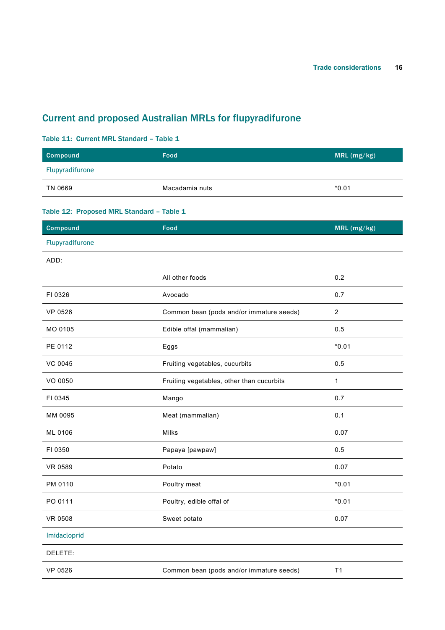# <span id="page-19-0"></span>Current and proposed Australian MRLs for flupyradifurone

#### <span id="page-19-1"></span>Table 11: Current MRL Standard – Table 1

| Compound        | Food           | MRL (mg/kg) |  |
|-----------------|----------------|-------------|--|
| Flupyradifurone |                |             |  |
| TN 0669         | Macadamia nuts | $*0.01$     |  |

### <span id="page-19-2"></span>Table 12: Proposed MRL Standard – Table 1

| <b>Compound</b> | Food                                      | MRL (mg/kg)    |
|-----------------|-------------------------------------------|----------------|
| Flupyradifurone |                                           |                |
| ADD:            |                                           |                |
|                 | All other foods                           | 0.2            |
| FI 0326         | Avocado                                   | 0.7            |
| VP 0526         | Common bean (pods and/or immature seeds)  | $\overline{2}$ |
| MO 0105         | Edible offal (mammalian)                  | 0.5            |
| PE 0112         | Eggs                                      | $*0.01$        |
| <b>VC 0045</b>  | Fruiting vegetables, cucurbits            | 0.5            |
| VO 0050         | Fruiting vegetables, other than cucurbits | $\mathbf{1}$   |
| FI 0345         | Mango                                     | 0.7            |
| MM 0095         | Meat (mammalian)                          | 0.1            |
| ML 0106         | <b>Milks</b>                              | 0.07           |
| FI 0350         | Papaya [pawpaw]                           | 0.5            |
| VR 0589         | Potato                                    | 0.07           |
| PM 0110         | Poultry meat                              | $*0.01$        |
| PO 0111         | Poultry, edible offal of                  | $*0.01$        |
| VR 0508         | Sweet potato                              | 0.07           |
| Imidacloprid    |                                           |                |
| DELETE:         |                                           |                |
| VP 0526         | Common bean (pods and/or immature seeds)  | T1             |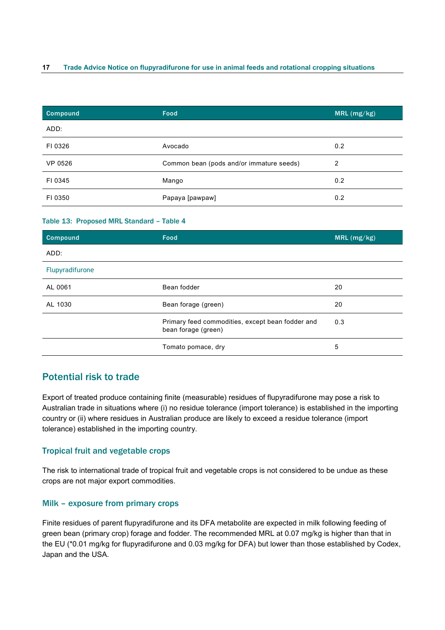| Compound | Food                                     | MRL (mg/kg) |
|----------|------------------------------------------|-------------|
| ADD:     |                                          |             |
| FI 0326  | Avocado                                  | 0.2         |
| VP 0526  | Common bean (pods and/or immature seeds) | 2           |
| FI 0345  | Mango                                    | 0.2         |
| FI 0350  | Papaya [pawpaw]                          | 0.2         |

#### <span id="page-20-3"></span>Table 13: Proposed MRL Standard – Table 4

| Compound        | Food                                                                    | MRL (mg/kg) |
|-----------------|-------------------------------------------------------------------------|-------------|
| ADD:            |                                                                         |             |
| Flupyradifurone |                                                                         |             |
| AL 0061         | Bean fodder                                                             | 20          |
| AL 1030         | Bean forage (green)                                                     | 20          |
|                 | Primary feed commodities, except bean fodder and<br>bean forage (green) | 0.3         |
|                 | Tomato pomace, dry                                                      | 5           |

### <span id="page-20-0"></span>Potential risk to trade

Export of treated produce containing finite (measurable) residues of flupyradifurone may pose a risk to Australian trade in situations where (i) no residue tolerance (import tolerance) is established in the importing country or (ii) where residues in Australian produce are likely to exceed a residue tolerance (import tolerance) established in the importing country.

#### <span id="page-20-1"></span>Tropical fruit and vegetable crops

The risk to international trade of tropical fruit and vegetable crops is not considered to be undue as these crops are not major export commodities.

#### <span id="page-20-2"></span>Milk – exposure from primary crops

Finite residues of parent flupyradifurone and its DFA metabolite are expected in milk following feeding of green bean (primary crop) forage and fodder. The recommended MRL at 0.07 mg/kg is higher than that in the EU (\*0.01 mg/kg for flupyradifurone and 0.03 mg/kg for DFA) but lower than those established by Codex, Japan and the USA.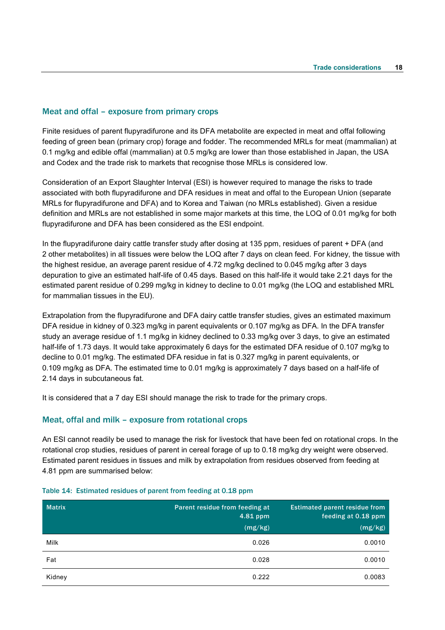### <span id="page-21-0"></span>Meat and offal – exposure from primary crops

Finite residues of parent flupyradifurone and its DFA metabolite are expected in meat and offal following feeding of green bean (primary crop) forage and fodder. The recommended MRLs for meat (mammalian) at 0.1 mg/kg and edible offal (mammalian) at 0.5 mg/kg are lower than those established in Japan, the USA and Codex and the trade risk to markets that recognise those MRLs is considered low.

Consideration of an Export Slaughter Interval (ESI) is however required to manage the risks to trade associated with both flupyradifurone and DFA residues in meat and offal to the European Union (separate MRLs for flupyradifurone and DFA) and to Korea and Taiwan (no MRLs established). Given a residue definition and MRLs are not established in some major markets at this time, the LOQ of 0.01 mg/kg for both flupyradifurone and DFA has been considered as the ESI endpoint.

In the flupyradifurone dairy cattle transfer study after dosing at 135 ppm, residues of parent + DFA (and 2 other metabolites) in all tissues were below the LOQ after 7 days on clean feed. For kidney, the tissue with the highest residue, an average parent residue of 4.72 mg/kg declined to 0.045 mg/kg after 3 days depuration to give an estimated half-life of 0.45 days. Based on this half-life it would take 2.21 days for the estimated parent residue of 0.299 mg/kg in kidney to decline to 0.01 mg/kg (the LOQ and established MRL for mammalian tissues in the EU).

Extrapolation from the flupyradifurone and DFA dairy cattle transfer studies, gives an estimated maximum DFA residue in kidney of 0.323 mg/kg in parent equivalents or 0.107 mg/kg as DFA. In the DFA transfer study an average residue of 1.1 mg/kg in kidney declined to 0.33 mg/kg over 3 days, to give an estimated half-life of 1.73 days. It would take approximately 6 days for the estimated DFA residue of 0.107 mg/kg to decline to 0.01 mg/kg. The estimated DFA residue in fat is 0.327 mg/kg in parent equivalents, or 0.109 mg/kg as DFA. The estimated time to 0.01 mg/kg is approximately 7 days based on a half-life of 2.14 days in subcutaneous fat.

It is considered that a 7 day ESI should manage the risk to trade for the primary crops.

### <span id="page-21-1"></span>Meat, offal and milk – exposure from rotational crops

An ESI cannot readily be used to manage the risk for livestock that have been fed on rotational crops. In the rotational crop studies, residues of parent in cereal forage of up to 0.18 mg/kg dry weight were observed. Estimated parent residues in tissues and milk by extrapolation from residues observed from feeding at 4.81 ppm are summarised below:

| <b>Matrix</b> | Parent residue from feeding at<br>4.81 ppm<br>(mg/kg) | Estimated parent residue from<br>feeding at 0.18 ppm<br>(mg/kg) |
|---------------|-------------------------------------------------------|-----------------------------------------------------------------|
| Milk          | 0.026                                                 | 0.0010                                                          |
| Fat           | 0.028                                                 | 0.0010                                                          |
| Kidney        | 0.222                                                 | 0.0083                                                          |

#### <span id="page-21-2"></span>Table 14: Estimated residues of parent from feeding at 0.18 ppm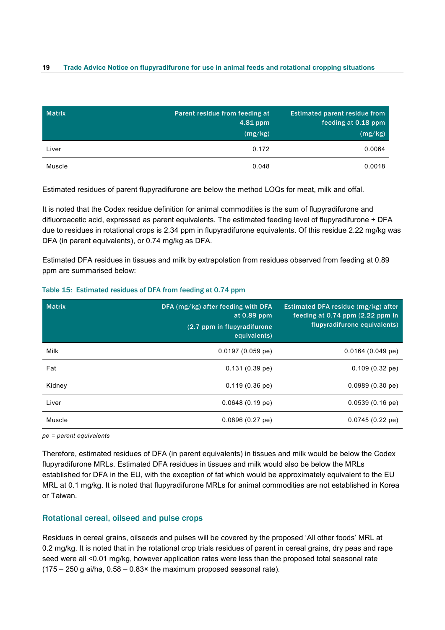| <b>Matrix</b> | Parent residue from feeding at<br>4.81 ppm<br>(mg/kg) | <b>Estimated parent residue from</b><br>feeding at 0.18 ppm<br>(mg/kg) |
|---------------|-------------------------------------------------------|------------------------------------------------------------------------|
| Liver         | 0.172                                                 | 0.0064                                                                 |
| Muscle        | 0.048                                                 | 0.0018                                                                 |

Estimated residues of parent flupyradifurone are below the method LOQs for meat, milk and offal.

It is noted that the Codex residue definition for animal commodities is the sum of flupyradifurone and difluoroacetic acid, expressed as parent equivalents. The estimated feeding level of flupyradifurone + DFA due to residues in rotational crops is 2.34 ppm in flupyradifurone equivalents. Of this residue 2.22 mg/kg was DFA (in parent equivalents), or 0.74 mg/kg as DFA.

Estimated DFA residues in tissues and milk by extrapolation from residues observed from feeding at 0.89 ppm are summarised below:

| <b>Matrix</b> | DFA (mg/kg) after feeding with DFA<br>at 0.89 ppm<br>(2.7 ppm in flupyradifurone<br>equivalents) | Estimated DFA residue (mg/kg) after<br>feeding at 0.74 ppm (2.22 ppm in<br>flupyradifurone equivalents) |
|---------------|--------------------------------------------------------------------------------------------------|---------------------------------------------------------------------------------------------------------|
| <b>Milk</b>   | $0.0197(0.059 \text{ pe})$                                                                       | $0.0164(0.049 \text{ pe})$                                                                              |
| Fat           | $0.131(0.39 \text{ pe})$                                                                         | $0.109(0.32 \text{ pe})$                                                                                |
| Kidney        | $0.119(0.36 \text{ pe})$                                                                         | $0.0989(0.30 \text{ pe})$                                                                               |
| Liver         | $0.0648(0.19 \text{ pe})$                                                                        | $0.0539(0.16 \text{ pe})$                                                                               |
| Muscle        | $0.0896(0.27 \text{ pe})$                                                                        | $0.0745(0.22 \text{ pe})$                                                                               |

#### <span id="page-22-1"></span>Table 15: Estimated residues of DFA from feeding at 0.74 ppm

*pe = parent equivalents*

Therefore, estimated residues of DFA (in parent equivalents) in tissues and milk would be below the Codex flupyradifurone MRLs. Estimated DFA residues in tissues and milk would also be below the MRLs established for DFA in the EU, with the exception of fat which would be approximately equivalent to the EU MRL at 0.1 mg/kg. It is noted that flupyradifurone MRLs for animal commodities are not established in Korea or Taiwan.

#### <span id="page-22-0"></span>Rotational cereal, oilseed and pulse crops

Residues in cereal grains, oilseeds and pulses will be covered by the proposed 'All other foods' MRL at 0.2 mg/kg. It is noted that in the rotational crop trials residues of parent in cereal grains, dry peas and rape seed were all <0.01 mg/kg, however application rates were less than the proposed total seasonal rate  $(175 - 250$  g ai/ha,  $0.58 - 0.83$ <sup>x</sup> the maximum proposed seasonal rate).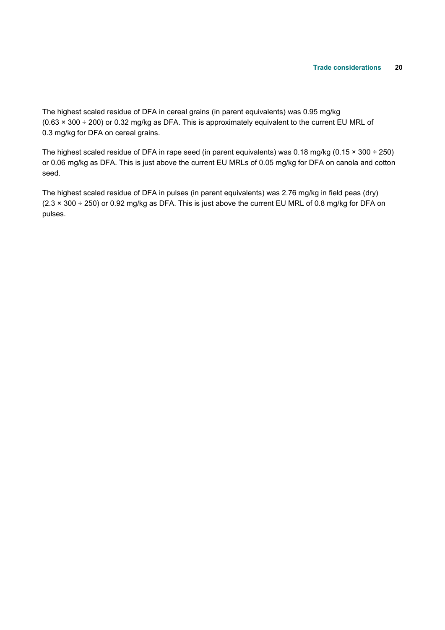The highest scaled residue of DFA in cereal grains (in parent equivalents) was 0.95 mg/kg (0.63 × 300 ÷ 200) or 0.32 mg/kg as DFA. This is approximately equivalent to the current EU MRL of 0.3 mg/kg for DFA on cereal grains.

The highest scaled residue of DFA in rape seed (in parent equivalents) was 0.18 mg/kg (0.15  $\times$  300 ÷ 250) or 0.06 mg/kg as DFA. This is just above the current EU MRLs of 0.05 mg/kg for DFA on canola and cotton seed.

The highest scaled residue of DFA in pulses (in parent equivalents) was 2.76 mg/kg in field peas (dry) (2.3 × 300 ÷ 250) or 0.92 mg/kg as DFA. This is just above the current EU MRL of 0.8 mg/kg for DFA on pulses.